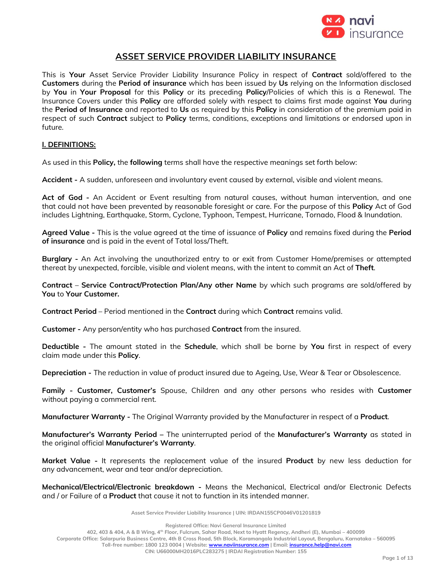

# **ASSET SERVICE PROVIDER LIABILITY INSURANCE**

This is **Your** Asset Service Provider Liability Insurance Policy in respect of **Contract** sold/offered to the **Customers** during the **Period of insurance** which has been issued by **Us** relying on the Information disclosed by **You** in **Your Proposal** for this **Policy** or its preceding **Policy**/Policies of which this is a Renewal. The Insurance Covers under this **Policy** are afforded solely with respect to claims first made against **You** during the **Period of Insurance** and reported to **Us** as required by this **Policy** in consideration of the premium paid in respect of such **Contract** subject to **Policy** terms, conditions, exceptions and limitations or endorsed upon in future.

# **I. DEFINITIONS:**

As used in this **Policy,** the **following** terms shall have the respective meanings set forth below:

**Accident -** A sudden, unforeseen and involuntary event caused by external, visible and violent means.

**Act of God -** An Accident or Event resulting from natural causes, without human intervention, and one that could not have been prevented by reasonable foresight or care. For the purpose of this **Policy** Act of God includes Lightning, Earthquake, Storm, Cyclone, Typhoon, Tempest, Hurricane, Tornado, Flood & Inundation.

**Agreed Value -** This is the value agreed at the time of issuance of **Policy** and remains fixed during the **Period of insurance** and is paid in the event of Total loss/Theft.

**Burglary -** An Act involving the unauthorized entry to or exit from Customer Home/premises or attempted thereat by unexpected, forcible, visible and violent means, with the intent to commit an Act of **Theft**.

**Contract** – **Service Contract/Protection Plan/Any other Name** by which such programs are sold/offered by **You** to **Your Customer.**

**Contract Period** – Period mentioned in the **Contract** during which **Contract** remains valid.

**Customer -** Any person/entity who has purchased **Contract** from the insured.

**Deductible -** The amount stated in the **Schedule**, which shall be borne by **You** first in respect of every claim made under this **Policy**.

**Depreciation -** The reduction in value of product insured due to Ageing, Use, Wear & Tear or Obsolescence.

**Family - Customer, Customer's** Spouse, Children and any other persons who resides with **Customer** without paying a commercial rent.

**Manufacturer Warranty -** The Original Warranty provided by the Manufacturer in respect of a **Product**.

**Manufacturer's Warranty Period –** The uninterrupted period of the **Manufacturer's Warranty** as stated in the original official **Manufacturer's Warranty**.

**Market Value -** It represents the replacement value of the insured **Product** by new less deduction for any advancement, wear and tear and/or depreciation.

**Mechanical/Electrical/Electronic breakdown -** Means the Mechanical, Electrical and/or Electronic Defects and / or Failure of a **Product** that cause it not to function in its intended manner.

**Asset Service Provider Liability Insurance | UIN: IRDAN155CP0046V01201819**

**Registered Office: Navi General Insurance Limited**

**402, 403 & 404, A & B Wing, 4th Floor, Fulcrum, Sahar Road, Next to Hyatt Regency, Andheri (E), Mumbai – 400099 Corporate Office: Salarpuria Business Centre, 4th B Cross Road, 5th Block, Koramangala Industrial Layout, Bengaluru, Karnataka – 560095 Toll-free number: 1800 123 0004 | Website: [www.naviinsurance.com](http://www.naviinsurance.com/) | Email[: insurance.help@navi.com](mailto:insurance.help@navi.com)**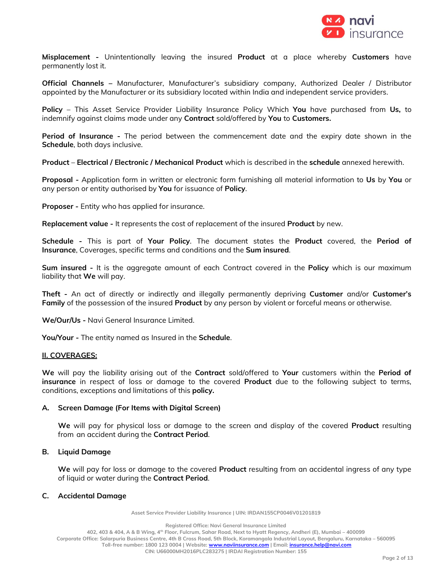

**Misplacement -** Unintentionally leaving the insured **Product** at a place whereby **Customers** have permanently lost it.

**Official Channels –** Manufacturer, Manufacturer's subsidiary company, Authorized Dealer / Distributor appointed by the Manufacturer or its subsidiary located within India and independent service providers.

**Policy** – This Asset Service Provider Liability Insurance Policy Which **You** have purchased from **Us,** to indemnify against claims made under any **Contract** sold/offered by **You** to **Customers.**

**Period of Insurance -** The period between the commencement date and the expiry date shown in the **Schedule**, both days inclusive.

**Product** – **Electrical / Electronic / Mechanical Product** which is described in the **schedule** annexed herewith.

**Proposal -** Application form in written or electronic form furnishing all material information to **Us** by **You** or any person or entity authorised by **You** for issuance of **Policy**.

**Proposer -** Entity who has applied for insurance.

**Replacement value -** It represents the cost of replacement of the insured **Product** by new.

**Schedule -** This is part of **Your Policy**. The document states the **Product** covered, the **Period of Insurance**, Coverages, specific terms and conditions and the **Sum insured**.

**Sum insured -** It is the aggregate amount of each Contract covered in the **Policy** which is our maximum liability that **We** will pay.

**Theft -** An act of directly or indirectly and illegally permanently depriving **Customer** and/or **Customer's Family** of the possession of the insured **Product** by any person by violent or forceful means or otherwise.

**We/Our/Us -** Navi General Insurance Limited.

**You/Your -** The entity named as Insured in the **Schedule**.

# **II. COVERAGES:**

**We** will pay the liability arising out of the **Contract** sold/offered to **Your** customers within the **Period of insurance** in respect of loss or damage to the covered **Product** due to the following subject to terms, conditions, exceptions and limitations of this **policy.**

# **A. Screen Damage (For Items with Digital Screen)**

**We** will pay for physical loss or damage to the screen and display of the covered **Product** resulting from an accident during the **Contract Period**.

# **B. Liquid Damage**

**We** will pay for loss or damage to the covered **Product** resulting from an accidental ingress of any type of liquid or water during the **Contract Period**.

# **C. Accidental Damage**

**Asset Service Provider Liability Insurance | UIN: IRDAN155CP0046V01201819**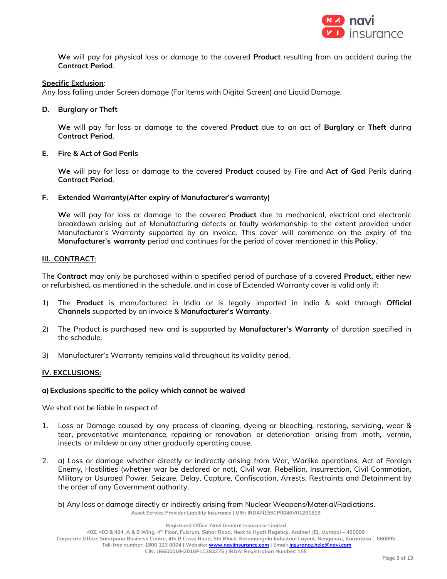

**We** will pay for physical loss or damage to the covered **Product** resulting from an accident during the **Contract Period**.

# **Specific Exclusion**:

Any loss falling under Screen damage (For Items with Digital Screen) and Liquid Damage.

# **D. Burglary or Theft**

**We** will pay for loss or damage to the covered **Product** due to an act of **Burglary** or **Theft** during **Contract Period**.

# **E. Fire & Act of God Perils**

**We** will pay for loss or damage to the covered **Product** caused by Fire and **Act of God** Perils during **Contract Period**.

# **F. Extended Warranty(After expiry of Manufacturer's warranty)**

**We** will pay for loss or damage to the covered **Product** due to mechanical, electrical and electronic breakdown arising out of Manufacturing defects or faulty workmanship to the extent provided under Manufacturer's Warranty supported by an invoice. This cover will commence on the expiry of the **Manufacturer's warranty** period and continues for the period of cover mentioned in this **Policy**.

# **III. CONTRACT**:

The **Contract** may only be purchased within a specified period of purchase of a covered **Product,** either new or refurbished**,** as mentioned in the schedule, and in case of Extended Warranty cover is valid only if:

- 1) The **Product** is manufactured in India or is legally imported in India & sold through **Official Channels** supported by an invoice & **Manufacturer's Warranty**.
- 2) The Product is purchased new and is supported by **Manufacturer's Warranty** of duration specified in the schedule.
- 3) Manufacturer's Warranty remains valid throughout its validity period.

# **IV. EXCLUSIONS:**

# **a)Exclusions specific to the policy which cannot be waived**

We shall not be liable in respect of

- 1. Loss or Damage caused by any process of cleaning, dyeing or bleaching, restoring, servicing, wear & tear, preventative maintenance, repairing or renovation or deterioration arising from moth, vermin, insects or mildew or any other gradually operating cause.
- 2. a) Loss or damage whether directly or indirectly arising from War, Warlike operations, Act of Foreign Enemy, Hostilities (whether war be declared or not), Civil war, Rebellion, Insurrection, Civil Commotion, Military or Usurped Power, Seizure, Delay, Capture, Confiscation, Arrests, Restraints and Detainment by the order of any Government authority.

**Asset Service Provider Liability Insurance | UIN: IRDAN155CP0046V01201819** b) Any loss or damage directly or indirectly arising from Nuclear Weapons/Material/Radiations.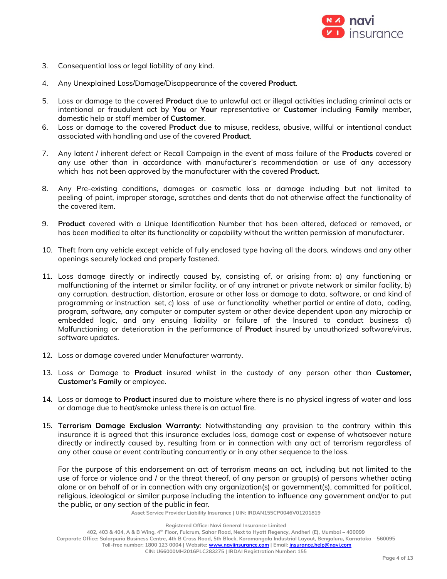

- 3. Consequential loss or legal liability of any kind.
- 4. Any Unexplained Loss/Damage/Disappearance of the covered **Product**.
- 5. Loss or damage to the covered **Product** due to unlawful act or illegal activities including criminal acts or intentional or fraudulent act by **You** or **Your** representative or **Customer** including **Family** member, domestic help or staff member of **Customer**.
- 6. Loss or damage to the covered **Product** due to misuse, reckless, abusive, willful or intentional conduct associated with handling and use of the covered **Product**.
- 7. Any latent / inherent defect or Recall Campaign in the event of mass failure of the **Products** covered or any use other than in accordance with manufacturer's recommendation or use of any accessory which has not been approved by the manufacturer with the covered **Product**.
- 8. Any Pre-existing conditions, damages or cosmetic loss or damage including but not limited to peeling of paint, improper storage, scratches and dents that do not otherwise affect the functionality of the covered item.
- 9. **Product** covered with a Unique Identification Number that has been altered, defaced or removed, or has been modified to alter its functionality or capability without the written permission of manufacturer.
- 10. Theft from any vehicle except vehicle of fully enclosed type having all the doors, windows and any other openings securely locked and properly fastened.
- 11. Loss damage directly or indirectly caused by, consisting of, or arising from: a) any functioning or malfunctioning of the internet or similar facility, or of any intranet or private network or similar facility, b) any corruption, destruction, distortion, erasure or other loss or damage to data, software, or and kind of programming or instruction set, c) loss of use or functionality whether partial or entire of data, coding, program, software, any computer or computer system or other device dependent upon any microchip or embedded logic, and any ensuing liability or failure of the Insured to conduct business d) Malfunctioning or deterioration in the performance of **Product** insured by unauthorized software/virus, software updates.
- 12. Loss or damage covered under Manufacturer warranty.
- 13. Loss or Damage to **Product** insured whilst in the custody of any person other than **Customer, Customer's Family** or employee.
- 14. Loss or damage to **Product** insured due to moisture where there is no physical ingress of water and loss or damage due to heat/smoke unless there is an actual fire.
- 15. **Terrorism Damage Exclusion Warranty**: Notwithstanding any provision to the contrary within this insurance it is agreed that this insurance excludes loss, damage cost or expense of whatsoever nature directly or indirectly caused by, resulting from or in connection with any act of terrorism regardless of any other cause or event contributing concurrently or in any other sequence to the loss.

For the purpose of this endorsement an act of terrorism means an act, including but not limited to the use of force or violence and / or the threat thereof, of any person or group(s) of persons whether acting alone or on behalf of or in connection with any organization(s) or government(s), committed for political, religious, ideological or similar purpose including the intention to influence any government and/or to put the public, or any section of the public in fear.

**Asset Service Provider Liability Insurance | UIN: IRDAN155CP0046V01201819**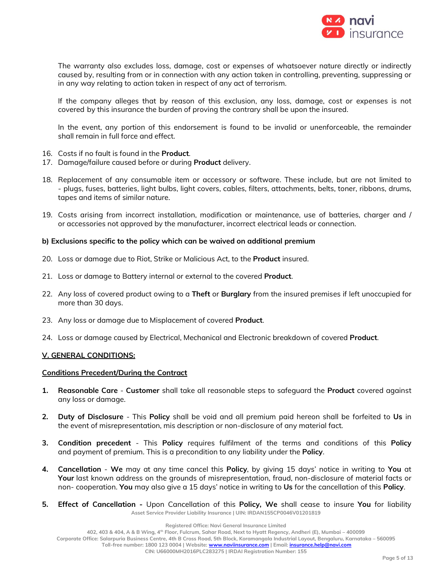

The warranty also excludes loss, damage, cost or expenses of whatsoever nature directly or indirectly caused by, resulting from or in connection with any action taken in controlling, preventing, suppressing or in any way relating to action taken in respect of any act of terrorism.

If the company alleges that by reason of this exclusion, any loss, damage, cost or expenses is not covered by this insurance the burden of proving the contrary shall be upon the insured.

In the event, any portion of this endorsement is found to be invalid or unenforceable, the remainder shall remain in full force and effect.

- 16. Costs if no fault is found in the **Product**.
- 17. Damage/failure caused before or during **Product** delivery.
- 18. Replacement of any consumable item or accessory or software. These include, but are not limited to - plugs, fuses, batteries, light bulbs, light covers, cables, filters, attachments, belts, toner, ribbons, drums, tapes and items of similar nature.
- 19. Costs arising from incorrect installation, modification or maintenance, use of batteries, charger and / or accessories not approved by the manufacturer, incorrect electrical leads or connection.

#### **b) Exclusions specific to the policy which can be waived on additional premium**

- 20. Loss or damage due to Riot, Strike or Malicious Act, to the **Product** insured.
- 21. Loss or damage to Battery internal or external to the covered **Product**.
- 22. Any loss of covered product owing to a **Theft** or **Burglary** from the insured premises if left unoccupied for more than 30 days.
- 23. Any loss or damage due to Misplacement of covered **Product**.
- 24. Loss or damage caused by Electrical, Mechanical and Electronic breakdown of covered **Product**.

#### **V. GENERAL CONDITIONS:**

#### **Conditions Precedent/During the Contract**

- **1. Reasonable Care Customer** shall take all reasonable steps to safeguard the **Product** covered against any loss or damage.
- **2. Duty of Disclosure** This **Policy** shall be void and all premium paid hereon shall be forfeited to **Us** in the event of misrepresentation, mis description or non-disclosure of any material fact.
- **3. Condition precedent** This **Policy** requires fulfilment of the terms and conditions of this **Policy** and payment of premium. This is a precondition to any liability under the **Policy**.
- **4. Cancellation We** may at any time cancel this **Policy**, by giving 15 days' notice in writing to **You** at **Your** last known address on the grounds of misrepresentation, fraud, non-disclosure of material facts or non- cooperation. **You** may also give a 15 days' notice in writing to **Us** for the cancellation of this **Policy**.
- **Asset Service Provider Liability Insurance | UIN: IRDAN155CP0046V01201819 5. Effect of Cancellation -** Upon Cancellation of this **Policy, We** shall cease to insure **You** for liability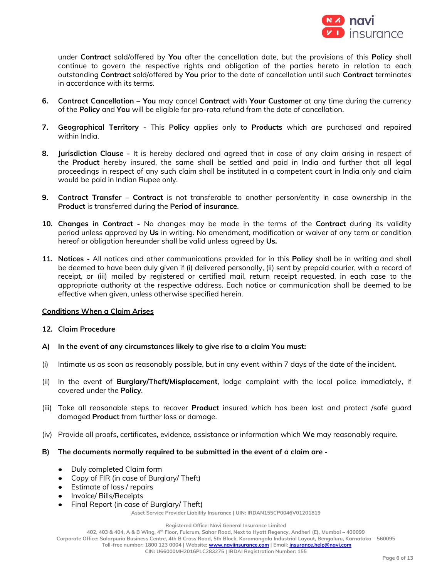

under **Contract** sold/offered by **You** after the cancellation date, but the provisions of this **Policy** shall continue to govern the respective rights and obligation of the parties hereto in relation to each outstanding **Contract** sold/offered by **You** prior to the date of cancellation until such **Contract** terminates in accordance with its terms.

- **6. Contract Cancellation – You** may cancel **Contract** with **Your Customer** at any time during the currency of the **Policy** and **You** will be eligible for pro-rata refund from the date of cancellation.
- **7. Geographical Territory** This **Policy** applies only to **Products** which are purchased and repaired within India.
- **8. Jurisdiction Clause -** It is hereby declared and agreed that in case of any claim arising in respect of the **Product** hereby insured, the same shall be settled and paid in India and further that all legal proceedings in respect of any such claim shall be instituted in a competent court in India only and claim would be paid in Indian Rupee only.
- **9. Contract Transfer Contract** is not transferable to another person/entity in case ownership in the **Product** is transferred during the **Period of insurance**.
- **10. Changes in Contract -** No changes may be made in the terms of the **Contract** during its validity period unless approved by **Us** in writing. No amendment, modification or waiver of any term or condition hereof or obligation hereunder shall be valid unless agreed by **Us.**
- **11. Notices -** All notices and other communications provided for in this **Policy** shall be in writing and shall be deemed to have been duly given if (i) delivered personally, (ii) sent by prepaid courier, with a record of receipt, or (iii) mailed by registered or certified mail, return receipt requested, in each case to the appropriate authority at the respective address. Each notice or communication shall be deemed to be effective when given, unless otherwise specified herein.

# **Conditions When a Claim Arises**

# **12. Claim Procedure**

- **A) In the event of any circumstances likely to give rise to a claim You must:**
- (i) Intimate us as soon as reasonably possible, but in any event within 7 days of the date of the incident.
- (ii) In the event of **Burglary/Theft/Misplacement**, lodge complaint with the local police immediately, if covered under the **Policy**.
- (iii) Take all reasonable steps to recover **Product** insured which has been lost and protect /safe guard damaged **Product** from further loss or damage.
- (iv) Provide all proofs, certificates, evidence, assistance or information which **We** may reasonably require.
- **B) The documents normally required to be submitted in the event of a claim are -**
	- Duly completed Claim form
	- Copy of FIR (in case of Burglary/ Theft)
	- Estimate of loss / repairs
	- Invoice/ Bills/Receipts
	- Final Report (in case of Burglary/ Theft)

**Asset Service Provider Liability Insurance | UIN: IRDAN155CP0046V01201819**

**Registered Office: Navi General Insurance Limited**

**402, 403 & 404, A & B Wing, 4th Floor, Fulcrum, Sahar Road, Next to Hyatt Regency, Andheri (E), Mumbai – 400099**

**Corporate Office: Salarpuria Business Centre, 4th B Cross Road, 5th Block, Koramangala Industrial Layout, Bengaluru, Karnataka – 560095**

**Toll-free number: 1800 123 0004 | Website: [www.naviinsurance.com](http://www.naviinsurance.com/) | Email[: insurance.help@navi.com](mailto:insurance.help@navi.com)**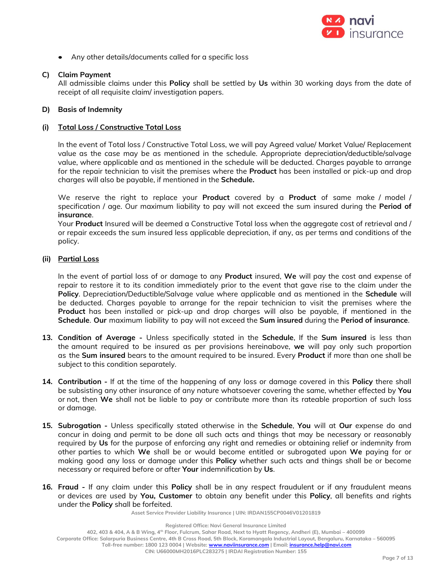

• Any other details/documents called for a specific loss

# **C) Claim Payment**

All admissible claims under this **Policy** shall be settled by **Us** within 30 working days from the date of receipt of all requisite claim/ investigation papers.

# **D) Basis of Indemnity**

# **(i) Total Loss / Constructive Total Loss**

In the event of Total loss / Constructive Total Loss, we will pay Agreed value/ Market Value/ Replacement value as the case may be as mentioned in the schedule. Appropriate depreciation/deductible/salvage value, where applicable and as mentioned in the schedule will be deducted. Charges payable to arrange for the repair technician to visit the premises where the **Product** has been installed or pick-up and drop charges will also be payable, if mentioned in the **Schedule.**

We reserve the right to replace your **Product** covered by a **Product** of same make / model / specification / age. Our maximum liability to pay will not exceed the sum insured during the **Period of insurance**.

Your **Product** Insured will be deemed a Constructive Total loss when the aggregate cost of retrieval and / or repair exceeds the sum insured less applicable depreciation, if any, as per terms and conditions of the policy.

# **(ii) Partial Loss**

In the event of partial loss of or damage to any **Product** insured, **We** will pay the cost and expense of repair to restore it to its condition immediately prior to the event that gave rise to the claim under the **Policy**. Depreciation/Deductible/Salvage value where applicable and as mentioned in the **Schedule** will be deducted. Charges payable to arrange for the repair technician to visit the premises where the **Product** has been installed or pick-up and drop charges will also be payable, if mentioned in the **Schedule**. **Our** maximum liability to pay will not exceed the **Sum insured** during the **Period of insurance**.

- **13. Condition of Average -** Unless specifically stated in the **Schedule**, If the **Sum insured** is less than the amount required to be insured as per provisions hereinabove, **we** will pay only such proportion as the **Sum insured** bears to the amount required to be insured. Every **Product** if more than one shall be subject to this condition separately.
- **14. Contribution -** If at the time of the happening of any loss or damage covered in this **Policy** there shall be subsisting any other insurance of any nature whatsoever covering the same, whether effected by **You** or not, then **We** shall not be liable to pay or contribute more than its rateable proportion of such loss or damage.
- **15. Subrogation -** Unless specifically stated otherwise in the **Schedule**, **You** will at **Our** expense do and concur in doing and permit to be done all such acts and things that may be necessary or reasonably required by **Us** for the purpose of enforcing any right and remedies or obtaining relief or indemnity from other parties to which **We** shall be or would become entitled or subrogated upon **We** paying for or making good any loss or damage under this **Policy** whether such acts and things shall be or become necessary or required before or after **Your** indemnification by **Us**.
- **16. Fraud -** If any claim under this **Policy** shall be in any respect fraudulent or if any fraudulent means or devices are used by **You, Customer** to obtain any benefit under this **Policy**, all benefits and rights under the **Policy** shall be forfeited.

**Asset Service Provider Liability Insurance | UIN: IRDAN155CP0046V01201819**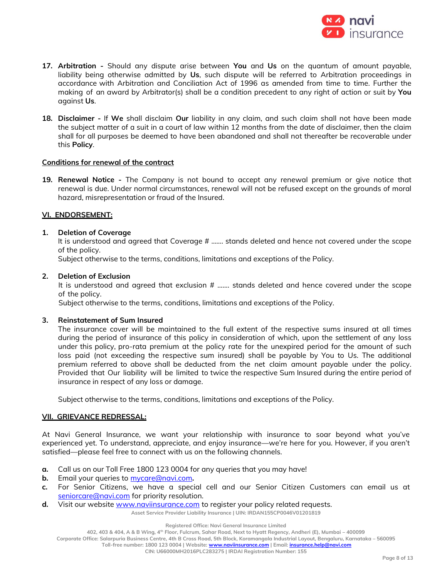

- **17. Arbitration -** Should any dispute arise between **You** and **Us** on the quantum of amount payable, liability being otherwise admitted by **Us**, such dispute will be referred to Arbitration proceedings in accordance with Arbitration and Conciliation Act of 1996 as amended from time to time. Further the making of an award by Arbitrator(s) shall be a condition precedent to any right of action or suit by **You**  against **Us**.
- **18. Disclaimer -** If **We** shall disclaim **Our** liability in any claim, and such claim shall not have been made the subject matter of a suit in a court of law within 12 months from the date of disclaimer, then the claim shall for all purposes be deemed to have been abandoned and shall not thereafter be recoverable under this **Policy**.

# **Conditions for renewal of the contract**

**19. Renewal Notice -** The Company is not bound to accept any renewal premium or give notice that renewal is due. Under normal circumstances, renewal will not be refused except on the grounds of moral hazard, misrepresentation or fraud of the Insured.

# **VI. ENDORSEMENT:**

# **1. Deletion of Coverage**

It is understood and agreed that Coverage # ……. stands deleted and hence not covered under the scope of the policy.

Subject otherwise to the terms, conditions, limitations and exceptions of the Policy.

# **2. Deletion of Exclusion**

It is understood and agreed that exclusion # ……. stands deleted and hence covered under the scope of the policy.

Subject otherwise to the terms, conditions, limitations and exceptions of the Policy.

# **3. Reinstatement of Sum Insured**

The insurance cover will be maintained to the full extent of the respective sums insured at all times during the period of insurance of this policy in consideration of which, upon the settlement of any loss under this policy, pro-rata premium at the policy rate for the unexpired period for the amount of such loss paid (not exceeding the respective sum insured) shall be payable by You to Us. The additional premium referred to above shall be deducted from the net claim amount payable under the policy. Provided that Our liability will be limited to twice the respective Sum Insured during the entire period of insurance in respect of any loss or damage.

Subject otherwise to the terms, conditions, limitations and exceptions of the Policy.

# **VII. GRIEVANCE REDRESSAL:**

At Navi General Insurance, we want your relationship with insurance to soar beyond what you've experienced yet. To understand, appreciate, and enjoy insurance—we're here for you. However, if you aren't satisfied—please feel free to connect with us on the following channels.

- **a.** Call us on our Toll Free 1800 123 0004 for any queries that you may have!
- **b.** Email your queries to [mycare@navi.com](mailto:mycare@navi.com)**.**
- **c.** For Senior Citizens, we have a special cell and our Senior Citizen Customers can email us at [seniorcare@navi.com](mailto:seniorcare@navi.com) for priority resolution.
- d. Visit our website [www.naviinsurance.com](http://www.naviinsurance.com/) to register your policy related requests.

**Asset Service Provider Liability Insurance | UIN: IRDAN155CP0046V01201819**

**Registered Office: Navi General Insurance Limited**

**402, 403 & 404, A & B Wing, 4th Floor, Fulcrum, Sahar Road, Next to Hyatt Regency, Andheri (E), Mumbai – 400099**

**Corporate Office: Salarpuria Business Centre, 4th B Cross Road, 5th Block, Koramangala Industrial Layout, Bengaluru, Karnataka – 560095**

**Toll-free number: 1800 123 0004 | Website: [www.naviinsurance.com](http://www.naviinsurance.com/) | Email[: insurance.help@navi.com](mailto:insurance.help@navi.com)**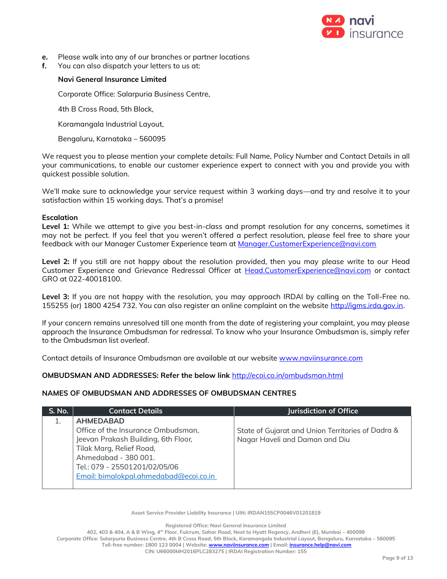

- **e.** Please walk into any of our branches or partner locations
- **f.** You can also dispatch your letters to us at:

# **Navi General Insurance Limited**

Corporate Office: Salarpuria Business Centre,

4th B Cross Road, 5th Block,

Koramangala Industrial Layout,

Bengaluru, Karnataka – 560095

We request you to please mention your complete details: Full Name, Policy Number and Contact Details in all your communications, to enable our customer experience expert to connect with you and provide you with quickest possible solution.

We'll make sure to acknowledge your service request within 3 working days—and try and resolve it to your satisfaction within 15 working days. That's a promise!

# **Escalation**

Level 1: While we attempt to give you best-in-class and prompt resolution for any concerns, sometimes it may not be perfect. If you feel that you weren't offered a perfect resolution, please feel free to share your feedback with our Manager Customer Experience team at [Manager.CustomerExperience@navi.com](mailto:Manager.CustomerExperience@navi.com)

**Level 2:** If you still are not happy about the resolution provided, then you may please write to our Head Customer Experience and Grievance Redressal Officer at [Head.CustomerExperience@navi.com](mailto:Head.CustomerExperience@navi.com) or contact GRO at 022-40018100.

**Level 3:** If you are not happy with the resolution, you may approach IRDAI by calling on the Toll-Free no. 155255 (or) 1800 4254 732. You can also register an online complaint on the website [http://igms.irda.gov.in.](http://igms.irda.gov.in/)

If your concern remains unresolved till one month from the date of registering your complaint, you may please approach the Insurance Ombudsman for redressal. To know who your Insurance Ombudsman is, simply refer to the Ombudsman list overleaf.

Contact details of Insurance Ombudsman are available at our website [www.naviinsurance.com](http://www.naviinsurance.com/)

# **OMBUDSMAN AND ADDRESSES: Refer the below link** <http://ecoi.co.in/ombudsman.html>

# **NAMES OF OMBUDSMAN AND ADDRESSES OF OMBUDSMAN CENTRES**

| S. No. | <b>Contact Details</b>                 | Jurisdiction of Office                            |
|--------|----------------------------------------|---------------------------------------------------|
|        | <b>AHMEDABAD</b>                       |                                                   |
|        | Office of the Insurance Ombudsman,     | State of Gujarat and Union Territories of Dadra & |
|        | Jeevan Prakash Building, 6th Floor,    | Nagar Haveli and Daman and Diu                    |
|        | Tilak Marg, Relief Road,               |                                                   |
|        | Ahmedabad - 380 001.                   |                                                   |
|        | Tel.: 079 - 25501201/02/05/06          |                                                   |
|        | Email: bimalokpal.ahmedabad@ecoi.co.in |                                                   |
|        |                                        |                                                   |

**Asset Service Provider Liability Insurance | UIN: IRDAN155CP0046V01201819**

**Registered Office: Navi General Insurance Limited**

**402, 403 & 404, A & B Wing, 4th Floor, Fulcrum, Sahar Road, Next to Hyatt Regency, Andheri (E), Mumbai – 400099 Corporate Office: Salarpuria Business Centre, 4th B Cross Road, 5th Block, Koramangala Industrial Layout, Bengaluru, Karnataka – 560095 Toll-free number: 1800 123 0004 | Website: [www.naviinsurance.com](http://www.naviinsurance.com/) | Email[: insurance.help@navi.com](mailto:insurance.help@navi.com) CIN: U66000MH2016PLC283275 | IRDAI Registration Number: 155**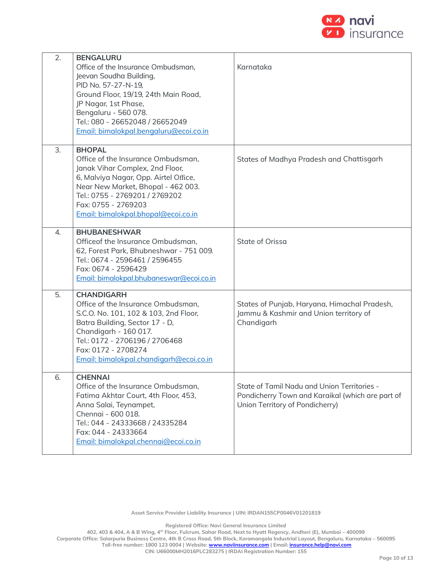

| 2. | <b>BENGALURU</b><br>Office of the Insurance Ombudsman,<br>Jeevan Soudha Building,<br>PID No. 57-27-N-19,<br>Ground Floor, 19/19, 24th Main Road,<br>JP Nagar, 1st Phase,<br>Bengaluru - 560 078.<br>Tel.: 080 - 26652048 / 26652049<br>Email: bimalokpal.bengaluru@ecoi.co.in | Karnataka                                                                                                                          |
|----|-------------------------------------------------------------------------------------------------------------------------------------------------------------------------------------------------------------------------------------------------------------------------------|------------------------------------------------------------------------------------------------------------------------------------|
| 3. | <b>BHOPAL</b><br>Office of the Insurance Ombudsman,<br>Janak Vihar Complex, 2nd Floor,<br>6, Malviya Nagar, Opp. Airtel Office,<br>Near New Market, Bhopal - 462 003.<br>Tel.: 0755 - 2769201 / 2769202<br>Fax: 0755 - 2769203<br>Email: bimalokpal.bhopal@ecoi.co.in         | States of Madhya Pradesh and Chattisgarh                                                                                           |
| 4. | <b>BHUBANESHWAR</b><br>Office of the Insurance Ombudsman.<br>62, Forest Park, Bhubneshwar - 751 009.<br>Tel.: 0674 - 2596461 / 2596455<br>Fax: 0674 - 2596429<br>Email: bimalokpal.bhubaneswar@ecoi.co.in                                                                     | State of Orissa                                                                                                                    |
| 5. | <b>CHANDIGARH</b><br>Office of the Insurance Ombudsman,<br>S.C.O. No. 101, 102 & 103, 2nd Floor,<br>Batra Building, Sector 17 - D,<br>Chandigarh - 160 017.<br>Tel.: 0172 - 2706196 / 2706468<br>Fax: 0172 - 2708274<br>Email: bimalokpal.chandigarh@ecoi.co.in               | States of Punjab, Haryana, Himachal Pradesh,<br>Jammu & Kashmir and Union territory of<br>Chandigarh                               |
| 6. | <b>CHENNAI</b><br>Office of the Insurance Ombudsman,<br>Fatima Akhtar Court, 4th Floor, 453,<br>Anna Salai, Teynampet,<br>Chennai - 600 018.<br>Tel.: 044 - 24333668 / 24335284<br>Fax: 044 - 24333664<br>Email: bimalokpal.chennai@ecoi.co.in                                | State of Tamil Nadu and Union Territories -<br>Pondicherry Town and Karaikal (which are part of<br>Union Territory of Pondicherry) |

**Asset Service Provider Liability Insurance | UIN: IRDAN155CP0046V01201819**

**Registered Office: Navi General Insurance Limited**

**402, 403 & 404, A & B Wing, 4th Floor, Fulcrum, Sahar Road, Next to Hyatt Regency, Andheri (E), Mumbai – 400099 Corporate Office: Salarpuria Business Centre, 4th B Cross Road, 5th Block, Koramangala Industrial Layout, Bengaluru, Karnataka – 560095 Toll-free number: 1800 123 0004 | Website: [www.naviinsurance.com](http://www.naviinsurance.com/) | Email[: insurance.help@navi.com](mailto:insurance.help@navi.com)**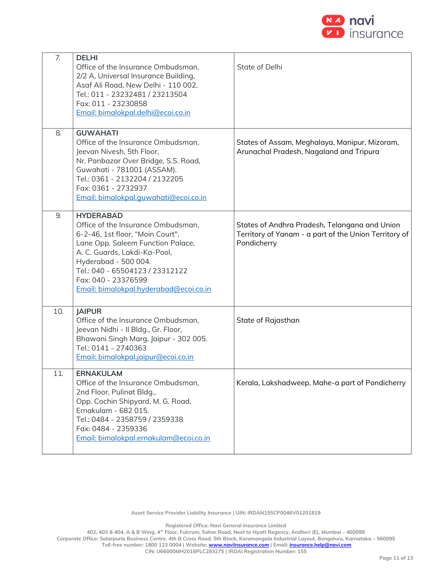

| 7.  | <b>DELHI</b><br>Office of the Insurance Ombudsman,<br>2/2 A, Universal Insurance Building,<br>Asaf Ali Road, New Delhi - 110 002.<br>Tel.: 011 - 23232481 / 23213504<br>Fax: 011 - 23230858<br>Email: bimalokpal.delhi@ecoi.co.in                                                           | State of Delhi                                                                                                        |
|-----|---------------------------------------------------------------------------------------------------------------------------------------------------------------------------------------------------------------------------------------------------------------------------------------------|-----------------------------------------------------------------------------------------------------------------------|
| 8.  | <b>GUWAHATI</b><br>Office of the Insurance Ombudsman,<br>Jeevan Nivesh, 5th Floor,<br>Nr. Panbazar Over Bridge, S.S. Road,<br>Guwahati - 781001 (ASSAM).<br>Tel.: 0361 - 2132204 / 2132205<br>Fax: 0361 - 2732937<br>Email: bimalokpal.quwahati@ecoi.co.in                                  | States of Assam, Meghalaya, Manipur, Mizoram,<br>Arunachal Pradesh, Nagaland and Tripura                              |
| 9.  | <b>HYDERABAD</b><br>Office of the Insurance Ombudsman,<br>6-2-46, 1st floor, "Moin Court",<br>Lane Opp. Saleem Function Palace,<br>A. C. Guards, Lakdi-Ka-Pool,<br>Hyderabad - 500 004.<br>Tel.: 040 - 65504123 / 23312122<br>Fax: 040 - 23376599<br>Email: bimalokpal.hyderabad@ecoi.co.in | States of Andhra Pradesh, Telangana and Union<br>Territory of Yanam - a part of the Union Territory of<br>Pondicherry |
| 10. | <b>JAIPUR</b><br>Office of the Insurance Ombudsman,<br>Jeevan Nidhi - Il Bldg., Gr. Floor,<br>Bhawani Singh Marg, Jaipur - 302 005.<br>Tel.: 0141 - 2740363<br>Email: bimalokpal.jaipur@ecoi.co.in                                                                                          | State of Rajasthan                                                                                                    |
| 11. | <b>ERNAKULAM</b><br>Office of the Insurance Ombudsman,<br>2nd Floor, Pulinat Bldg.,<br>Opp. Cochin Shipyard, M. G. Road,<br>Ernakulam - 682 015.<br>Tel.: 0484 - 2358759 / 2359338<br>Fax: 0484 - 2359336<br>Email: bimalokpal.ernakulam@ecoi.co.in                                         | Kerala, Lakshadweep, Mahe-a part of Pondicherry                                                                       |

**Asset Service Provider Liability Insurance | UIN: IRDAN155CP0046V01201819**

**Registered Office: Navi General Insurance Limited**

**402, 403 & 404, A & B Wing, 4th Floor, Fulcrum, Sahar Road, Next to Hyatt Regency, Andheri (E), Mumbai – 400099 Corporate Office: Salarpuria Business Centre, 4th B Cross Road, 5th Block, Koramangala Industrial Layout, Bengaluru, Karnataka – 560095 Toll-free number: 1800 123 0004 | Website: [www.naviinsurance.com](http://www.naviinsurance.com/) | Email[: insurance.help@navi.com](mailto:insurance.help@navi.com)**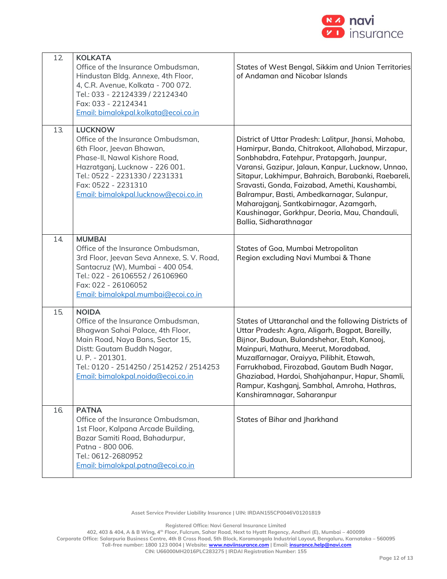

| 12  | <b>KOLKATA</b><br>Office of the Insurance Ombudsman,<br>Hindustan Bldg. Annexe, 4th Floor,<br>4, C.R. Avenue, Kolkata - 700 072.<br>Tel.: 033 - 22124339 / 22124340<br>Fax: 033 - 22124341<br>Email: bimalokpal.kolkata@ecoi.co.in                            | States of West Bengal, Sikkim and Union Territories<br>of Andaman and Nicobar Islands                                                                                                                                                                                                                                                                                                                                                                                                    |
|-----|---------------------------------------------------------------------------------------------------------------------------------------------------------------------------------------------------------------------------------------------------------------|------------------------------------------------------------------------------------------------------------------------------------------------------------------------------------------------------------------------------------------------------------------------------------------------------------------------------------------------------------------------------------------------------------------------------------------------------------------------------------------|
| 13. | <b>LUCKNOW</b><br>Office of the Insurance Ombudsman,<br>6th Floor, Jeevan Bhawan,<br>Phase-II, Nawal Kishore Road,<br>Hazratganj, Lucknow - 226 001.<br>Tel.: 0522 - 2231330 / 2231331<br>Fax: 0522 - 2231310<br>Email: bimalokpal.lucknow@ecoi.co.in         | District of Uttar Pradesh: Lalitpur, Jhansi, Mahoba,<br>Hamirpur, Banda, Chitrakoot, Allahabad, Mirzapur,<br>Sonbhabdra, Fatehpur, Pratapgarh, Jaunpur,<br>Varansi, Gazipur, Jalaun, Kanpur, Lucknow, Unnao,<br>Sitapur, Lakhimpur, Bahraich, Barabanki, Raebareli,<br>Sravasti, Gonda, Faizabad, Amethi, Kaushambi,<br>Balrampur, Basti, Ambedkarnagar, Sulanpur,<br>Maharajganj, Santkabirnagar, Azamgarh,<br>Kaushinagar, Gorkhpur, Deoria, Mau, Chandauli,<br>Ballia, Sidharathnagar |
| 14. | <b>MUMBAI</b><br>Office of the Insurance Ombudsman,<br>3rd Floor, Jeevan Seva Annexe, S. V. Road,<br>Santacruz (W), Mumbai - 400 054.<br>Tel.: 022 - 26106552 / 26106960<br>Fax: 022 - 26106052<br>Email: bimalokpal.mumbai@ecoi.co.in                        | States of Goa, Mumbai Metropolitan<br>Region excluding Navi Mumbai & Thane                                                                                                                                                                                                                                                                                                                                                                                                               |
| 15. | <b>NOIDA</b><br>Office of the Insurance Ombudsman,<br>Bhagwan Sahai Palace, 4th Floor,<br>Main Road, Naya Bans, Sector 15,<br>Distt: Gautam Buddh Nagar,<br>U. P. - 201301.<br>Tel.: 0120 - 2514250 / 2514252 / 2514253<br>Email: bimalokpal.noida@ecoi.co.in | States of Uttaranchal and the following Districts of<br>Uttar Pradesh: Agra, Aligarh, Bagpat, Bareilly,<br>Bijnor, Budaun, Bulandshehar, Etah, Kanooj,<br>Mainpuri, Mathura, Meerut, Moradabad,<br>Muzaffarnagar, Oraiyya, Pilibhit, Etawah,<br>Farrukhabad, Firozabad, Gautam Budh Nagar,<br>Ghaziabad, Hardoi, Shahjahanpur, Hapur, Shamli,<br>Rampur, Kashganj, Sambhal, Amroha, Hathras,<br>Kanshiramnagar, Saharanpur                                                               |
| 16. | <b>PATNA</b><br>Office of the Insurance Ombudsman,<br>1st Floor, Kalpana Arcade Building,<br>Bazar Samiti Road, Bahadurpur,<br>Patna - 800 006.<br>Tel.: 0612-2680952<br>Email: bimalokpal.patna@ecoi.co.in                                                   | States of Bihar and Jharkhand                                                                                                                                                                                                                                                                                                                                                                                                                                                            |

**Asset Service Provider Liability Insurance | UIN: IRDAN155CP0046V01201819**

**<sup>402, 403 &</sup>amp; 404, A & B Wing, 4th Floor, Fulcrum, Sahar Road, Next to Hyatt Regency, Andheri (E), Mumbai – 400099 Corporate Office: Salarpuria Business Centre, 4th B Cross Road, 5th Block, Koramangala Industrial Layout, Bengaluru, Karnataka – 560095 Toll-free number: 1800 123 0004 | Website: [www.naviinsurance.com](http://www.naviinsurance.com/) | Email[: insurance.help@navi.com](mailto:insurance.help@navi.com)**